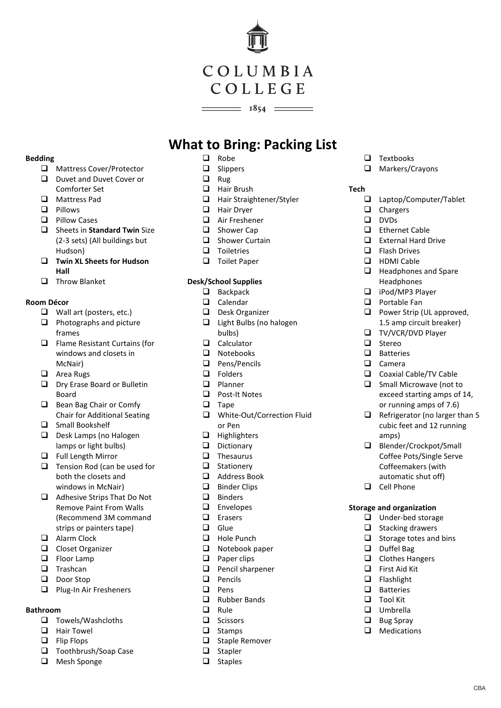# COLUMBIA COLLEGE

 $\frac{\phantom{1}}{2}$  1854  $\frac{\phantom{1}}{2}$ 

# **What to Bring: Packing List**

### **Bedding**

- □ Mattress Cover/Protector
- D Duvet and Duvet Cover or Comforter Set
- Mattress Pad
- **Q** Pillows
- $\Box$  Pillow Cases
- $\Box$  Sheets in **Standard Twin** Size (2-3 sets) (All buildings but Hudson)
- **Twin XL Sheets for Hudson Hall**
- **Throw Blanket**

# **Room Décor**

- $\Box$  Wall art (posters, etc.)
- $\Box$  Photographs and picture frames
- $\Box$  Flame Resistant Curtains (for windows and closets in McNair)
- **Q** Area Rugs
- D Dry Erase Board or Bulletin Board
- Bean Bag Chair or Comfy Chair for Additional Seating
- □ Small Bookshelf
- D Desk Lamps (no Halogen lamps or light bulbs)
- **Q** Full Length Mirror
- $\Box$  Tension Rod (can be used for both the closets and windows in McNair)
- □ Adhesive Strips That Do Not Remove Paint From Walls (Recommend 3M command strips or painters tape)
- Alarm Clock
- Closet Organizer
- **Elgency** Floor Lamp
- $\Box$  Trashcan
- Door Stop
- $\Box$  Plug-In Air Fresheners

# **Bathroom**

- $\Box$  Towels/Washcloths
- $\Box$  Hair Towel
- □ Flip Flops
- □ Toothbrush/Soap Case
- **Q** Mesh Sponge
- $\Box$  Robe
- □ Slippers
- $\Box$  Rug
- □ Hair Brush
- $\Box$  Hair Straightener/Styler<br> $\Box$  Hair Drver
- Hair Dryer
- Air Freshener
- □ Shower Cap
- $\Box$  Shower Curtain
- $\Box$  Toiletries
- **D** Toilet Paper

# **Desk/School Supplies**

- $\Box$  Backpack
- $\Box$  Calendar
- Desk Organizer
- □ Light Bulbs (no halogen bulbs)
- $\Box$  Calculator
- $\Box$  Notebooks<br> $\Box$  Pens/Penci
- Pens/Pencils
- **D** Folders
- **Q** Planner □ Post-It Notes
- $\Box$  Tape
- □ White-Out/Correction Fluid or Pen
- $\Box$  Highlighters
- D Dictionary
- 
- $\Box$  Thesaurus<br> $\Box$  Stationery Stationery
- □ Address Book
- $\Box$  Binder Clips
- D Binders
- **Envelopes**
- Erasers
- $\Box$  Glue<br> $\Box$  Hole
- Hole Punch
- $\Box$  Notebook paper
- $\Box$  Paper clips
- $\Box$  Pencil sharpener
- $\Box$  Pencils
- $\Box$  Pens
- □ Rubber Bands
- $\Box$  Rule
- **Q** Scissors
- $\Box$  Stamps
- $\Box$  Staple Remover
- $\Box$  Stapler
- $\Box$  Staples
- $\Box$  Textbooks
- Markers/Crayons

# **Tech**

- $\square$  Laptop/Computer/Tablet<br> $\square$  Chargers
- Chargers
- $\Box$  DVDs
- Ethernet Cable
- External Hard Drive
- $\Box$  Flash Drives
- **HDMI Cable**
- $\Box$  Headphones and Spare Headphones
- □ iPod/MP3 Player
- **D** Portable Fan
- **Q** Power Strip (UL approved, 1.5 amp circuit breaker)
- **TV/VCR/DVD Player**
- $\Box$  Stereo
- **D** Batteries

amps)

Cell Phone

**Storage and organization Under-bed storage**  $\Box$  Stacking drawers  $\Box$  Storage totes and bins

> Duffel Bag  $\Box$  Clothes Hangers □ First Aid Kit  $\Box$  Flashlight **D** Batteries  $\Box$  Tool Kit Umbrella  $\Box$  Bug Spray  $\Box$  Medications

- $\Box$  Camera
- Coaxial Cable/TV Cable Small Microwave (not to

Blender/Crockpot/Small Coffee Pots/Single Serve Coffeemakers (with automatic shut off)

exceed starting amps of 14, or running amps of 7.6)  $\Box$  Refrigerator (no larger than 5 cubic feet and 12 running

CBA